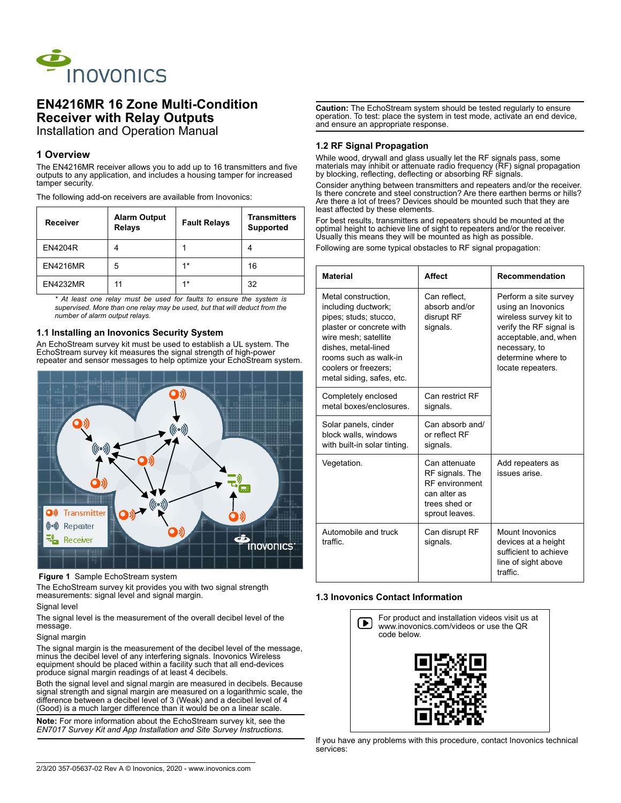

## **EN4216MR 16 Zone Multi-Condition Receiver with Relay Outputs** Installation and Operation Manual

## **1 Overview**

The EN4216MR receiver allows you to add up to 16 transmitters and five outputs to any application, and includes a housing tamper for increased tamper security.

The following add-on receivers are available from Inovonics:

| <b>Receiver</b> | <b>Alarm Output</b><br><b>Relays</b> | <b>Fault Relays</b> | <b>Transmitters</b><br><b>Supported</b> |
|-----------------|--------------------------------------|---------------------|-----------------------------------------|
| <b>EN4204R</b>  | 4                                    |                     |                                         |
| <b>EN4216MR</b> | 5                                    | $1*$                | 16                                      |
| <b>EN4232MR</b> | 11                                   | $1*$                | 32                                      |

*\* At least one relay must be used for faults to ensure the system is supervised. More than one relay may be used, but that will deduct from the number of alarm output relays.*

## **1.1 Installing an Inovonics Security System**

An EchoStream survey kit must be used to establish a UL system. The EchoStream survey kit measures the signal strength of high-power repeater and sensor messages to help optimize your EchoStream system.



## **Figure 1** Sample EchoStream system

The EchoStream survey kit provides you with two signal strength measurements: signal level and signal margin.

#### Signal level

The signal level is the measurement of the overall decibel level of the message.

#### Signal margin

The signal margin is the measurement of the decibel level of the message, minus the decibel level of any interfering signals. Inovonics Wireless equipment should be placed within a facility such that all end-devices produce signal margin readings of at least 4 decibels.

Both the signal level and signal margin are measured in decibels. Because signal strength and signal margin are measured on a logarithmic scale, the difference between a decibel level of 3 (Weak) and a decibel level of 4 (Good) is a much larger difference than it would be on a linear scale.

**Note:** For more information about the EchoStream survey kit, see the *EN7017 Survey Kit and App Installation and Site Survey Instructions.*

**Caution:** The EchoStream system should be tested regularly to ensure operation. To test: place the system in test mode, activate an end device, and ensure an appropriate response.

## **1.2 RF Signal Propagation**

While wood, drywall and glass usually let the RF signals pass, some materials may inhibit or attenuate radio frequency (RF) signal propagation by blocking, reflecting, deflecting or absorbing RF signals.

Consider anything between transmitters and repeaters and/or the receiver. Is there concrete and steel construction? Are there earthen berms or hills? Are there a lot of trees? Devices should be mounted such that they are least affected by these elements.

For best results, transmitters and repeaters should be mounted at the optimal height to achieve line of sight to repeaters and/or the receiver. Usually this means they will be mounted as high as possible.

Following are some typical obstacles to RF signal propagation:

| <b>Material</b>                                                                                                                                                                                                              | <b>Affect</b>                                                                                                | <b>Recommendation</b>                                                                                                                                                                 |
|------------------------------------------------------------------------------------------------------------------------------------------------------------------------------------------------------------------------------|--------------------------------------------------------------------------------------------------------------|---------------------------------------------------------------------------------------------------------------------------------------------------------------------------------------|
| Metal construction.<br>including ductwork;<br>pipes; studs; stucco,<br>plaster or concrete with<br>wire mesh: satellite<br>dishes, metal-lined<br>rooms such as walk-in<br>coolers or freezers:<br>metal siding, safes, etc. | Can reflect,<br>absorb and/or<br>disrupt RF<br>signals.                                                      | Perform a site survey<br>using an Inovonics<br>wireless survey kit to<br>verify the RF signal is<br>acceptable, and, when<br>necessary, to<br>determine where to<br>locate repeaters. |
| Completely enclosed<br>metal boxes/enclosures                                                                                                                                                                                | Can restrict RF<br>signals.                                                                                  |                                                                                                                                                                                       |
| Solar panels, cinder<br>block walls, windows<br>with built-in solar tinting.                                                                                                                                                 | Can absorb and/<br>or reflect RF<br>signals.                                                                 |                                                                                                                                                                                       |
| Vegetation.                                                                                                                                                                                                                  | Can attenuate<br>RF signals. The<br><b>RF</b> environment<br>can alter as<br>trees shed or<br>sprout leaves. | Add repeaters as<br>issues arise                                                                                                                                                      |
| Automobile and truck<br>traffic                                                                                                                                                                                              | Can disrupt RF<br>signals.                                                                                   | <b>Mount Inovonics</b><br>devices at a height<br>sufficient to achieve<br>line of sight above<br>traffic                                                                              |

## **1.3 Inovonics Contact Information**



If you have any problems with this procedure, contact Inovonics technical services: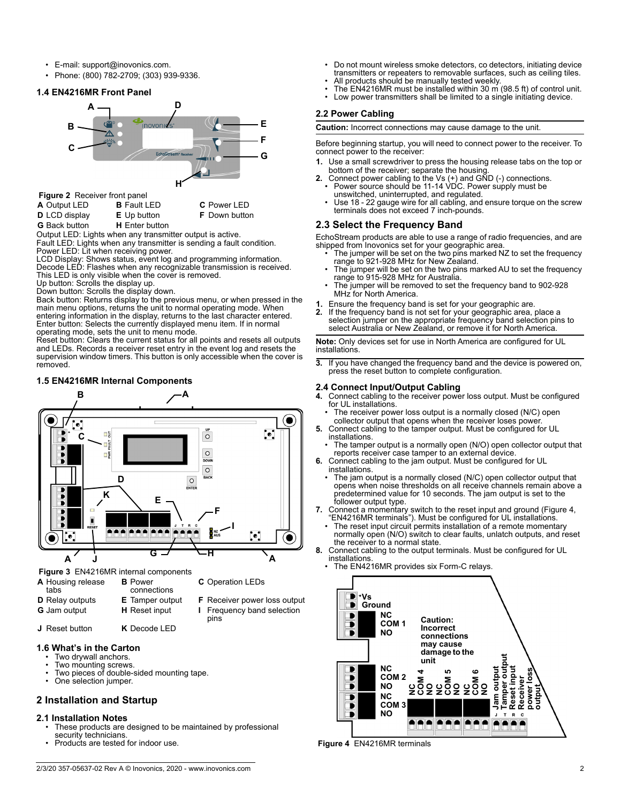- E-mail: support@inovonics.com.
- Phone: (800) 782-2709; (303) 939-9336.

## **1.4 EN4216MR Front Panel**



 **Figure 2** Receiver front panel

| A Output LED         | <b>B</b> Fault LED    | <b>C</b> Power LED   |
|----------------------|-----------------------|----------------------|
| <b>D</b> LCD display | <b>E</b> Up button    | <b>F</b> Down button |
| <b>G</b> Back button | <b>H</b> Enter button |                      |

Output LED: Lights when any transmitter output is active. Fault LED: Lights when any transmitter is sending a fault condition. Power LED: Lit when receiving power.

LCD Display: Shows status, event log and programming information. Decode LED: Flashes when any recognizable transmission is received. This LED is only visible when the cover is removed.

Up button: Scrolls the display up.

Down button: Scrolls the display down.

Back button: Returns display to the previous menu, or when pressed in the main menu options, returns the unit to normal operating mode. When entering information in the display, returns to the last character entered. Enter button: Selects the currently displayed menu item. If in normal operating mode, sets the unit to menu mode. Reset button: Clears the current status for all points and resets all outputs

and LEDs. Records a receiver reset entry in the event log and resets the supervision window timers. This button is only accessible when the cover is removed.

## **1.5 EN4216MR Internal Components**



**J** Reset button **K** Decode LED

- **1.6 What's in the Carton**
	- Two drywall anchors. • Two mounting screws.
	- Two pieces of double-sided mounting tape.
	- One selection jumper.

## **2 Installation and Startup**

## **2.1 Installation Notes**

- These products are designed to be maintained by professional security technicians.
- Products are tested for indoor use.
- Do not mount wireless smoke detectors, co detectors, initiating device transmitters or repeaters to removable surfaces, such as ceiling tiles.
- All products should be manually tested weekly.
- The EN4216MR must be installed within 30 m (98.5 ft) of control unit. Low power transmitters shall be limited to a single initiating device.

## **2.2 Power Cabling**

**Caution:** Incorrect connections may cause damage to the unit.

Before beginning startup, you will need to connect power to the receiver. To connect power to the receiver:

- **1.** Use a small screwdriver to press the housing release tabs on the top or bottom of the receiver; separate the housing
- **2.** Connect power cabling to the Vs (+) and GND (-) connections. Power source should be 11-14 VDC. Power supply must be
	- unswitched, uninterrupted, and regulated. Use 18 - 22 gauge wire for all cabling, and ensure torque on the screw terminals does not exceed 7 inch-pounds.

## **2.3 Select the Frequency Band**

EchoStream products are able to use a range of radio frequencies, and are shipped from Inovonics set for your geographic area.

- The jumper will be set on the two pins marked NZ to set the frequency range to 921-928 MHz for New Zealand.
- The jumper will be set on the two pins marked AU to set the frequency range to 915-928 MHz for Australia.
- The jumper will be removed to set the frequency band to 902-928 MHz for North America.
- **1.** Ensure the frequency band is set for your geographic are.
- **2.** If the frequency band is not set for your geographic area, place a selection jumper on the appropriate frequency band selection pins to select Australia or New Zealand, or remove it for North America.

**Note:** Only devices set for use in North America are configured for UL installations.

**3.** If you have changed the frequency band and the device is powered on, press the reset button to complete configuration.

# **2.4 Connect Input/Output Cabling**

- **4.** Connect cabling to the receiver power loss output. Must be configured for UL installations.
- The receiver power loss output is a normally closed (N/C) open collector output that opens when the receiver loses power.
- **5.** Connect cabling to the tamper output. Must be configured for UL installations.
- The tamper output is a normally open (N/O) open collector output that reports receiver case tamper to an external device. **6.** Connect cabling to the jam output. Must be configured for UL
- installations.
- The jam output is a normally closed (N/C) open collector output that opens when noise thresholds on all receive channels remain above a predetermined value for 10 seconds. The jam output is set to the follower output type.
- **7.** Connect a momentary switch to the reset input and ground (Figure 4, "EN4216MR terminals"). Must be configured for UL installations.
- The reset input circuit permits installation of a remote momentary normally open (N/O) switch to clear faults, unlatch outputs, and reset the receiver to a normal state.
- **8.** Connect cabling to the output terminals. Must be configured for UL installations.
	- The EN4216MR provides six Form-C relays.



 **Figure 4** EN4216MR terminals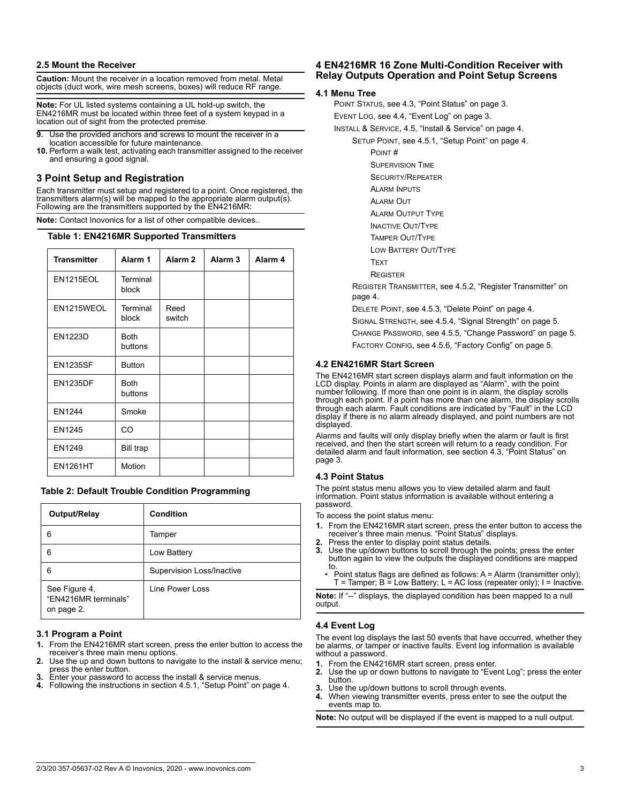## **2.5 Mount the Receiver**

**Caution:** Mount the receiver in a location removed from metal. Metal objects (duct work, wire mesh screens, boxes) will reduce RF range.

**Note:** For UL listed systems containing a UL hold-up switch, the EN4216MR must be located within three feet of a system keypad in a location out of sight from the protected premise.

- **9.** Use the provided anchors and screws to mount the receiver in a location accessible for future maintenance.
- **10.** Perform a walk test, activating each transmitter assigned to the receiver and ensuring a good signal.

## **3 Point Setup and Registration**

Each transmitter must setup and registered to a point. Once registered, the transmitters alarm(s) will be mapped to the appropriate alarm output(s). Following are the transmitters supported by the EN4216MR:

**Note:** Contact Inovonics for a list of other compatible devices..

#### **Table 1: EN4216MR Supported Transmitters**

| <b>Transmitter</b> | Alarm 1                | Alarm <sub>2</sub> | Alarm <sub>3</sub> | Alarm <sub>4</sub> |
|--------------------|------------------------|--------------------|--------------------|--------------------|
| <b>EN1215EOL</b>   | Terminal<br>block      |                    |                    |                    |
| EN1215WEOL         | Terminal<br>block      | Reed<br>switch     |                    |                    |
| <b>EN1223D</b>     | <b>Both</b><br>buttons |                    |                    |                    |
| <b>EN1235SF</b>    | <b>Button</b>          |                    |                    |                    |
| <b>EN1235DF</b>    | <b>Both</b><br>buttons |                    |                    |                    |
| EN1244             | Smoke                  |                    |                    |                    |
| <b>EN1245</b>      | <b>CO</b>              |                    |                    |                    |
| EN1249             | <b>Bill trap</b>       |                    |                    |                    |
| <b>EN1261HT</b>    | Motion                 |                    |                    |                    |

## **Table 2: Default Trouble Condition Programming**

| Output/Relay                                        | Condition                        |
|-----------------------------------------------------|----------------------------------|
| 6                                                   | Tamper                           |
| 6                                                   | Low Battery                      |
| 6                                                   | <b>Supervision Loss/Inactive</b> |
| See Figure 4,<br>"EN4216MR terminals"<br>on page 2. | Line Power Loss                  |

## **3.1 Program a Point**

- **1.** From the EN4216MR start screen, press the enter button to access the receiver's three main menu options.
- Use the up and down buttons to navigate to the install & service menu; press the enter button.
- **3.** Enter your password to access the install & service menus.
- **4.** Following the instructions in section 4.5.1, "Setup Point" on page 4.

## **4 EN4216MR 16 Zone Multi-Condition Receiver with Relay Outputs Operation and Point Setup Screens**

## **4.1 Menu Tree**

POINT STATUS, see 4.3, "Point Status" on page 3. EVENT LOG, see 4.4, "Event Log" on page 3. INSTALL & SERVICE, 4.5, "Install & Service" on page 4. SETUP POINT, see 4.5.1, "Setup Point" on page 4. POINT # SUPERVISION TIME

- SECURITY/REPEATER
- ALARM INPUTS
- ALARM OUT
- ALARM OUTPUT TYPE
- INACTIVE OUT/TYPE
- TAMPER OUT/TYPE
- LOW BATTERY OUT/TYPE
- **TEXT**
- **REGISTER**

REGISTER TRANSMITTER, see 4.5.2, "Register Transmitter" on page 4.

DELETE POINT, see 4.5.3, "Delete Point" on page 4.

- SIGNAL STRENGTH, see 4.5.4, "Signal Strength" on page 5.
- CHANGE PASSWORD, see 4.5.5, "Change Password" on page 5.

FACTORY CONFIG, see 4.5.6, "Factory Config" on page 5.

## **4.2 EN4216MR Start Screen**

The EN4216MR start screen displays alarm and fault information on the LCD display. Points in alarm are displayed as "Alarm", with the point number following. If more than one point is in alarm, the display scrolls through each point. If a point has more than one alarm, the display scrolls through each alarm. Fault conditions are indicated by "Fault" in the LCD display if there is no alarm already displayed, and point numbers are not displayed.

Alarms and faults will only display briefly when the alarm or fault is first received, and then the start screen will return to a ready condition. For detailed alarm and fault information, see section 4.3, "Point Status" on page 3.

## **4.3 Point Status**

The point status menu allows you to view detailed alarm and fault information. Point status information is available without entering a password.

To access the point status menu:

- **1.** From the EN4216MR start screen, press the enter button to access the receiver's three main menus. "Point Status" displays.
- 
- **2.** Press the enter to display point status details. **3.** Use the up/down buttons to scroll through the points; press the enter button again to view the outputs the displayed conditions are mapped to.
- Point status flags are defined as follows: A = Alarm (transmitter only);  $T =$  Tamper;  $B =$  Low Battery;  $L = AC$  loss (repeater only);  $I =$  Inactive.

**Note:** If "--" displays, the displayed condition has been mapped to a null output.

## **4.4 Event Log**

The event log displays the last 50 events that have occurred, whether they be alarms, or tamper or inactive faults. Event log information is available without a password.

- **1.** From the EN4216MR start screen, press enter.
- **2.** Use the up or down buttons to navigate to "Event Log"; press the enter button.
- **3.** Use the up/down buttons to scroll through events.
- **4.** When viewing transmitter events, press enter to see the output the events map to.

**Note:** No output will be displayed if the event is mapped to a null output.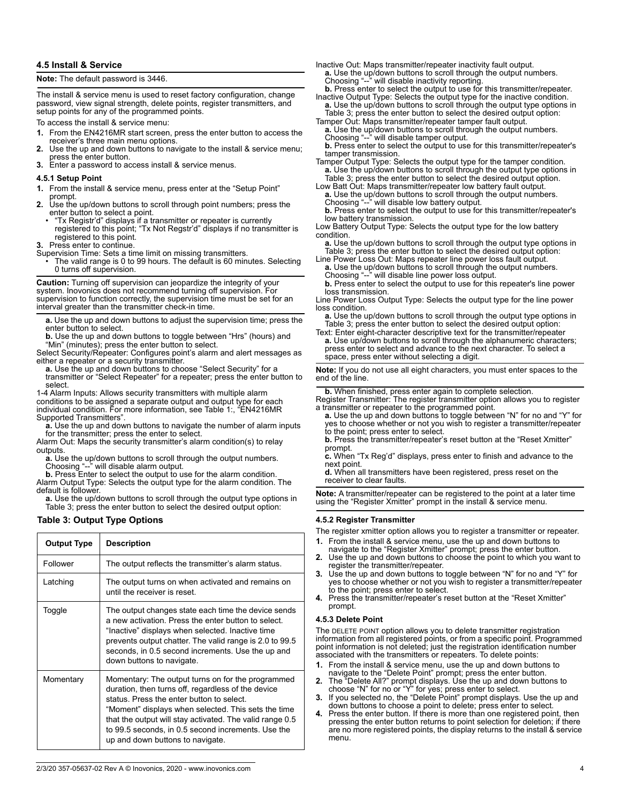## **4.5 Install & Service**

**Note:** The default password is 3446.

The install & service menu is used to reset factory configuration, change password, view signal strength, delete points, register transmitters, and setup points for any of the programmed points.

To access the install & service menu:

- **1.** From the EN4216MR start screen, press the enter button to access the receiver's three main menu options.
- **2.** Use the up and down buttons to navigate to the install & service menu; press the enter button.
- **3.** Enter a password to access install & service menus.

#### **4.5.1 Setup Point**

- **1.** From the install & service menu, press enter at the "Setup Point" prompt.
- **2.** Use the up/down buttons to scroll through point numbers; press the enter button to select a point.
	- "Tx Registr'd" displays if a transmitter or repeater is currently registered to this point; "Tx Not Regstr'd" displays if no transmitter is registered to this point.
- **3.** Press enter to continue.

Supervision Time: Sets a time limit on missing transmitters.

• The valid range is 0 to 99 hours. The default is 60 minutes. Selecting 0 turns off supervision.

**Caution:** Turning off supervision can jeopardize the integrity of your system. Inovonics does not recommend turning off supervision. For supervision to function correctly, the supervision time must be set for an interval greater than the transmitter check-in time.

**a.** Use the up and down buttons to adjust the supervision time; press the enter button to select.

**b.** Use the up and down buttons to toggle between "Hrs" (hours) and "Min" (minutes); press the enter button to select.

Select Security/Repeater: Configures point's alarm and alert messages as either a repeater or a security transmitter.

**a.** Use the up and down buttons to choose "Select Security" for a transmitter or "Select Repeater" for a repeater; press the enter button to select.

1-4 Alarm Inputs: Allows security transmitters with multiple alarm conditions to be assigned a separate output and output type for each individual condition. For more information, see Table 1:, "EN4216MR Supported Transmitters".

**a.** Use the up and down buttons to navigate the number of alarm inputs for the transmitter; press the enter to select.

Alarm Out: Maps the security transmitter's alarm condition(s) to relay outputs.

**a.** Use the up/down buttons to scroll through the output numbers. Choosing "--" will disable alarm output.

**b.** Press Enter to select the output to use for the alarm condition. Alarm Output Type: Selects the output type for the alarm condition. The default is follower.

a. Use the up/down buttons to scroll through the output type options in Table 3; press the enter button to select the desired output option:

## **Table 3: Output Type Options**

| <b>Output Type</b> | <b>Description</b>                                                                                                                                                                                                                                                                                                                                                |
|--------------------|-------------------------------------------------------------------------------------------------------------------------------------------------------------------------------------------------------------------------------------------------------------------------------------------------------------------------------------------------------------------|
| Follower           | The output reflects the transmitter's alarm status.                                                                                                                                                                                                                                                                                                               |
| Latching           | The output turns on when activated and remains on<br>until the receiver is reset                                                                                                                                                                                                                                                                                  |
| Toggle             | The output changes state each time the device sends<br>a new activation. Press the enter button to select.<br>"Inactive" displays when selected. Inactive time<br>prevents output chatter. The valid range is 2.0 to 99.5<br>seconds, in 0.5 second increments. Use the up and<br>down buttons to navigate.                                                       |
| Momentary          | Momentary: The output turns on for the programmed<br>duration, then turns off, regardless of the device<br>status. Press the enter button to select.<br>"Moment" displays when selected. This sets the time<br>that the output will stay activated. The valid range 0.5<br>to 99.5 seconds, in 0.5 second increments. Use the<br>up and down buttons to navigate. |

Choosing "--" will disable inactivity reporting.

- **b.** Press enter to select the output to use for this transmitter/repeater. Inactive Output Type: Selects the output type for the inactive condition.
- **a.** Use the up/down buttons to scroll through the output type options in Table 3; press the enter button to select the desired output option:<br>Tamper Out: Maps transmitter/repeater tamper fault output.
- Tamper Out: Maps transmitter/repeater tamper fault output. **a.** Use the up/down buttons to scroll through the output numbers. Choosing "--" will disable tamper output.

**b.** Press enter to select the output to use for this transmitter/repeater's tamper transmission.

Tamper Output Type: Selects the output type for the tamper condition. **a.** Use the up/down buttons to scroll through the output type options in Table 3; press the enter button to select the desired output option.<br>Low Batt Out: Maps transmitter/repeater low battery fault output.

a. Use the up/down buttons to scroll through the output numbers. Choosing "--" will disable low battery output.

**b.** Press enter to select the output to use for this transmitter/repeater's low battery transmission.

Low Battery Output Type: Selects the output type for the low battery condition.

a. Use the up/down buttons to scroll through the output type options in Table 3; press the enter button to select the desired output option:

Line Power Loss Out: Maps repeater line power loss fault output. **a.** Use the up/down buttons to scroll through the output numbers.

Choosing "--" will disable line power loss output.

**b.** Press enter to select the output to use for this repeater's line power loss transmission.

Line Power Loss Output Type: Selects the output type for the line power loss condition.

**a.** Use the up/down buttons to scroll through the output type options in Table 3; press the enter button to select the desired output option:

Text: Enter eight-character descriptive text for the transmitter/repeater **a.** Use up/down buttons to scroll through the alphanumeric characters; press enter to select and advance to the next character. To select a space, press enter without selecting a digit.

**Note:** If you do not use all eight characters, you must enter spaces to the end of the line.

**b.** When finished, press enter again to complete selection. Register Transmitter: The register transmitter option allows you to register a transmitter or repeater to the programmed point. **a.** Use the up and down buttons to toggle between "N" for no and "Y" for

yes to choose whether or not you wish to register a transmitter/repeater to the point; press enter to select.

**b.** Press the transmitter/repeater's reset button at the "Reset Xmitter" prompt.

**c.** When "Tx Reg'd" displays, press enter to finish and advance to the next point.

**d.** When all transmitters have been registered, press reset on the receiver to clear faults.

**Note:** A transmitter/repeater can be registered to the point at a later time using the "Register Xmitter" prompt in the install & service menu.

#### **4.5.2 Register Transmitter**

The register xmitter option allows you to register a transmitter or repeater.

- **1.** From the install & service menu, use the up and down buttons to navigate to the "Register Xmitter" prompt; press the enter button.
- **2.** Use the up and down buttons to choose the point to which you want to
- register the transmitter/repeater. **3.** Use the up and down buttons to toggle between "N" for no and "Y" for yes to choose whether or not you wish to register a transmitter/repeater
- to the point; press enter to select. **4.** Press the transmitter/repeater's reset button at the "Reset Xmitter" prompt.

## **4.5.3 Delete Point**

The DELETE POINT option allows you to delete transmitter registration information from all registered points, or from a specific point. Programmed point information is not deleted; just the registration identification number associated with the transmitters or repeaters. To delete points:

- **1.** From the install & service menu, use the up and down buttons to navigate to the "Delete Point" prompt; press the enter button.
- **2.** The "Delete All?" prompt displays. Use the up and down buttons to choose "N" for no or "Y" for yes; press enter to select.
- **3.** If you selected no, the "Delete Point" prompt displays. Use the up and down buttons to choose a point to delete; press enter to select.
- **4.** Press the enter button. If there is more than one registered point, then pressing the enter button returns to point selection for deletion; if there are no more registered points, the display returns to the install & service menu.